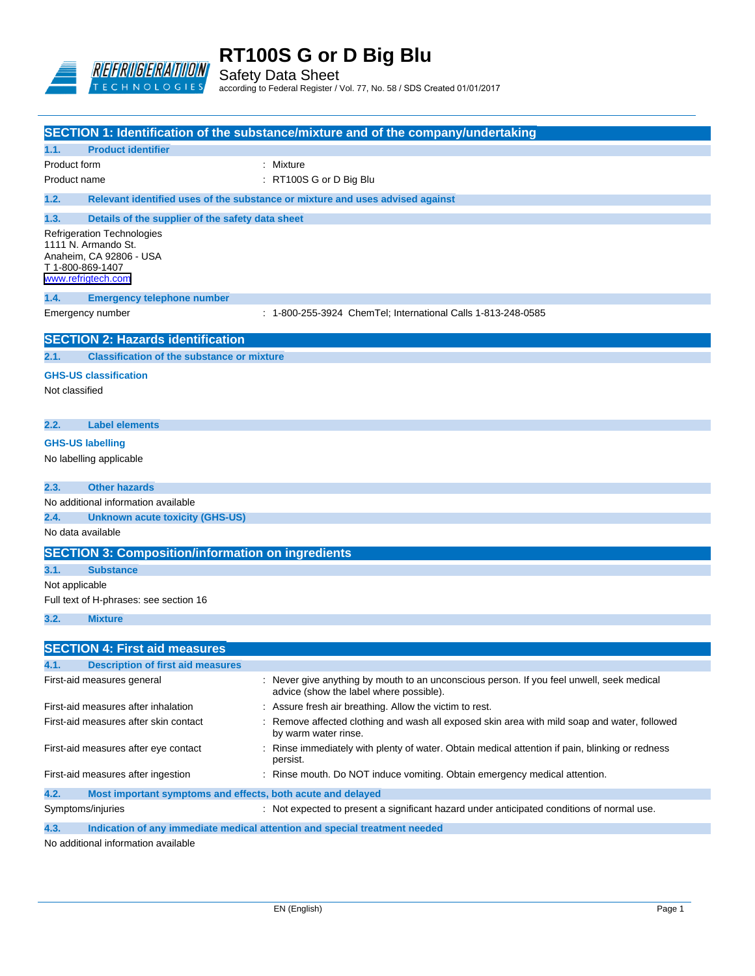

Safety Data Sheet according to Federal Register / Vol. 77, No. 58 / SDS Created 01/01/2017

|                         |                                                                                                    | <b>SECTION 1: Identification of the substance/mixture and of the company/undertaking</b>                                             |
|-------------------------|----------------------------------------------------------------------------------------------------|--------------------------------------------------------------------------------------------------------------------------------------|
| 1.1.                    | <b>Product identifier</b>                                                                          |                                                                                                                                      |
| Product form            |                                                                                                    | : Mixture                                                                                                                            |
| Product name            |                                                                                                    | : RT100S G or D Big Blu                                                                                                              |
| 1.2.                    |                                                                                                    | Relevant identified uses of the substance or mixture and uses advised against                                                        |
| 1.3.                    | Details of the supplier of the safety data sheet                                                   |                                                                                                                                      |
| T 1-800-869-1407        | Refrigeration Technologies<br>1111 N. Armando St.<br>Anaheim, CA 92806 - USA<br>www.refrigtech.com |                                                                                                                                      |
| 1.4.                    | <b>Emergency telephone number</b>                                                                  |                                                                                                                                      |
|                         | Emergency number                                                                                   | : 1-800-255-3924 ChemTel; International Calls 1-813-248-0585                                                                         |
|                         | <b>SECTION 2: Hazards identification</b>                                                           |                                                                                                                                      |
| 2.1.                    | <b>Classification of the substance or mixture</b>                                                  |                                                                                                                                      |
| Not classified          | <b>GHS-US classification</b>                                                                       |                                                                                                                                      |
| 2.2.                    | <b>Label elements</b>                                                                              |                                                                                                                                      |
| <b>GHS-US labelling</b> | No labelling applicable                                                                            |                                                                                                                                      |
| 2.3.                    | <b>Other hazards</b>                                                                               |                                                                                                                                      |
|                         | No additional information available                                                                |                                                                                                                                      |
| 2.4.                    | <b>Unknown acute toxicity (GHS-US)</b>                                                             |                                                                                                                                      |
| No data available       |                                                                                                    |                                                                                                                                      |
|                         | <b>SECTION 3: Composition/information on ingredients</b>                                           |                                                                                                                                      |
| 3.1.                    | <b>Substance</b>                                                                                   |                                                                                                                                      |
| Not applicable          |                                                                                                    |                                                                                                                                      |
|                         | Full text of H-phrases: see section 16                                                             |                                                                                                                                      |
| 3.2.                    | <b>Mixture</b>                                                                                     |                                                                                                                                      |
|                         |                                                                                                    |                                                                                                                                      |
|                         | <b>SECTION 4: First aid measures</b>                                                               |                                                                                                                                      |
| 4.1.                    | <b>Description of first aid measures</b>                                                           |                                                                                                                                      |
|                         | First-aid measures general                                                                         | : Never give anything by mouth to an unconscious person. If you feel unwell, seek medical<br>advice (show the label where possible). |
|                         | First-aid measures after inhalation                                                                | : Assure fresh air breathing. Allow the victim to rest.                                                                              |
|                         | First-aid measures after skin contact                                                              | : Remove affected clothing and wash all exposed skin area with mild soap and water, followed<br>by warm water rinse.                 |
|                         | First-aid measures after eye contact                                                               | : Rinse immediately with plenty of water. Obtain medical attention if pain, blinking or redness<br>persist.                          |
|                         | First-aid measures after ingestion                                                                 | : Rinse mouth. Do NOT induce vomiting. Obtain emergency medical attention.                                                           |
| 4.2.                    | Most important symptoms and effects, both acute and delayed                                        |                                                                                                                                      |
| Symptoms/injuries       |                                                                                                    | : Not expected to present a significant hazard under anticipated conditions of normal use.                                           |

**4.3. Indication of any immediate medical attention and special treatment needed**

No additional information available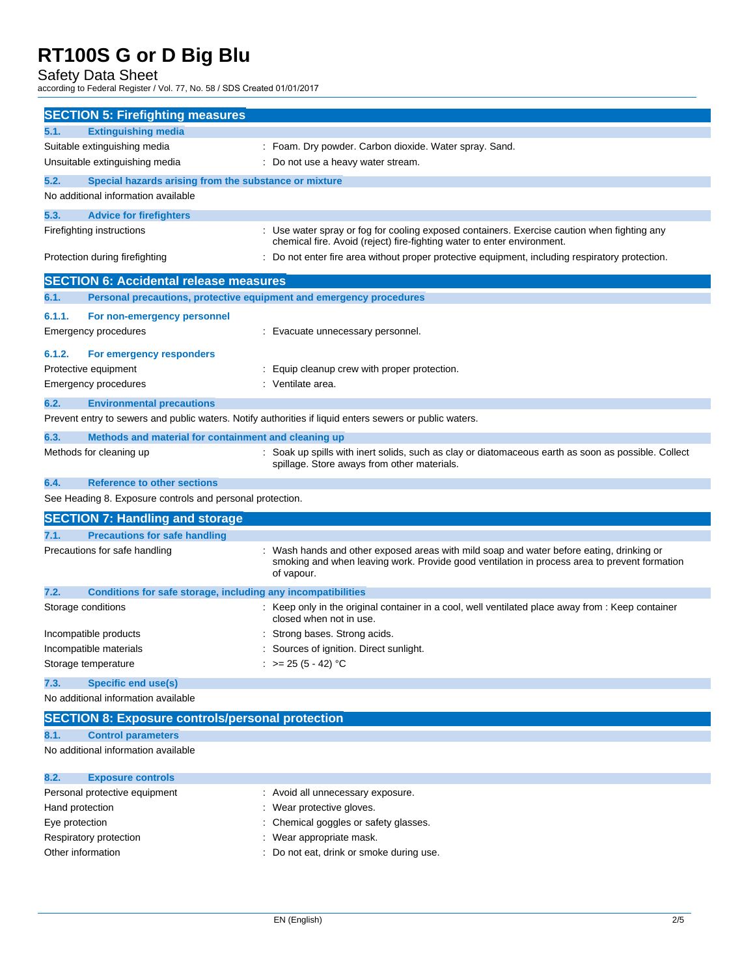Safety Data Sheet

according to Federal Register / Vol. 77, No. 58 / SDS Created 01/01/2017

| <b>SECTION 5: Firefighting measures</b>                              |                                                                                                                                                    |
|----------------------------------------------------------------------|----------------------------------------------------------------------------------------------------------------------------------------------------|
| 5.1.<br><b>Extinguishing media</b>                                   |                                                                                                                                                    |
| Suitable extinguishing media                                         | : Foam. Dry powder. Carbon dioxide. Water spray. Sand.                                                                                             |
| Unsuitable extinguishing media                                       | : Do not use a heavy water stream.                                                                                                                 |
| 5.2.<br>Special hazards arising from the substance or mixture        |                                                                                                                                                    |
| No additional information available                                  |                                                                                                                                                    |
| 5.3.                                                                 |                                                                                                                                                    |
| <b>Advice for firefighters</b><br>Firefighting instructions          | : Use water spray or fog for cooling exposed containers. Exercise caution when fighting any                                                        |
|                                                                      | chemical fire. Avoid (reject) fire-fighting water to enter environment.                                                                            |
| Protection during firefighting                                       | Do not enter fire area without proper protective equipment, including respiratory protection.                                                      |
|                                                                      |                                                                                                                                                    |
| <b>SECTION 6: Accidental release measures</b>                        |                                                                                                                                                    |
| 6.1.                                                                 | Personal precautions, protective equipment and emergency procedures                                                                                |
| 6.1.1.<br>For non-emergency personnel                                |                                                                                                                                                    |
| Emergency procedures                                                 | : Evacuate unnecessary personnel.                                                                                                                  |
| 6.1.2.                                                               |                                                                                                                                                    |
| For emergency responders<br>Protective equipment                     |                                                                                                                                                    |
| Emergency procedures                                                 | : Equip cleanup crew with proper protection.<br>: Ventilate area.                                                                                  |
|                                                                      |                                                                                                                                                    |
| 6.2.<br><b>Environmental precautions</b>                             |                                                                                                                                                    |
|                                                                      | Prevent entry to sewers and public waters. Notify authorities if liquid enters sewers or public waters.                                            |
| 6.3.<br>Methods and material for containment and cleaning up         |                                                                                                                                                    |
| Methods for cleaning up                                              | : Soak up spills with inert solids, such as clay or diatomaceous earth as soon as possible. Collect<br>spillage. Store aways from other materials. |
| 6.4.<br><b>Reference to other sections</b>                           |                                                                                                                                                    |
| See Heading 8. Exposure controls and personal protection.            |                                                                                                                                                    |
| <b>SECTION 7: Handling and storage</b>                               |                                                                                                                                                    |
| <b>Precautions for safe handling</b><br>7.1.                         |                                                                                                                                                    |
| Precautions for safe handling                                        | Wash hands and other exposed areas with mild soap and water before eating, drinking or                                                             |
|                                                                      | smoking and when leaving work. Provide good ventilation in process area to prevent formation<br>of vapour.                                         |
| 7.2.<br>Conditions for safe storage, including any incompatibilities |                                                                                                                                                    |
| Storage conditions                                                   | : Keep only in the original container in a cool, well ventilated place away from : Keep container<br>closed when not in use.                       |
| Incompatible products                                                | Strong bases. Strong acids.                                                                                                                        |
| Incompatible materials                                               | Sources of ignition. Direct sunlight.                                                                                                              |
| Storage temperature                                                  | : $> = 25 (5 - 42) °C$                                                                                                                             |
| <b>Specific end use(s)</b><br>7.3.                                   |                                                                                                                                                    |
| No additional information available                                  |                                                                                                                                                    |
|                                                                      |                                                                                                                                                    |
| <b>SECTION 8: Exposure controls/personal protection</b>              |                                                                                                                                                    |
| 8.1.<br><b>Control parameters</b>                                    |                                                                                                                                                    |
| No additional information available                                  |                                                                                                                                                    |
| 8.2.<br><b>Exposure controls</b>                                     |                                                                                                                                                    |
| Personal protective equipment                                        | : Avoid all unnecessary exposure.                                                                                                                  |

- Hand protection **in the case of the contract of the CO** is wear protective gloves. Eye protection **Exercise Eye protection** : Chemical goggles or safety glasses. Respiratory protection **in the set of the COV** wear appropriate mask.
- Other information  $\qquad \qquad :$  Do not eat, drink or smoke during use.
	-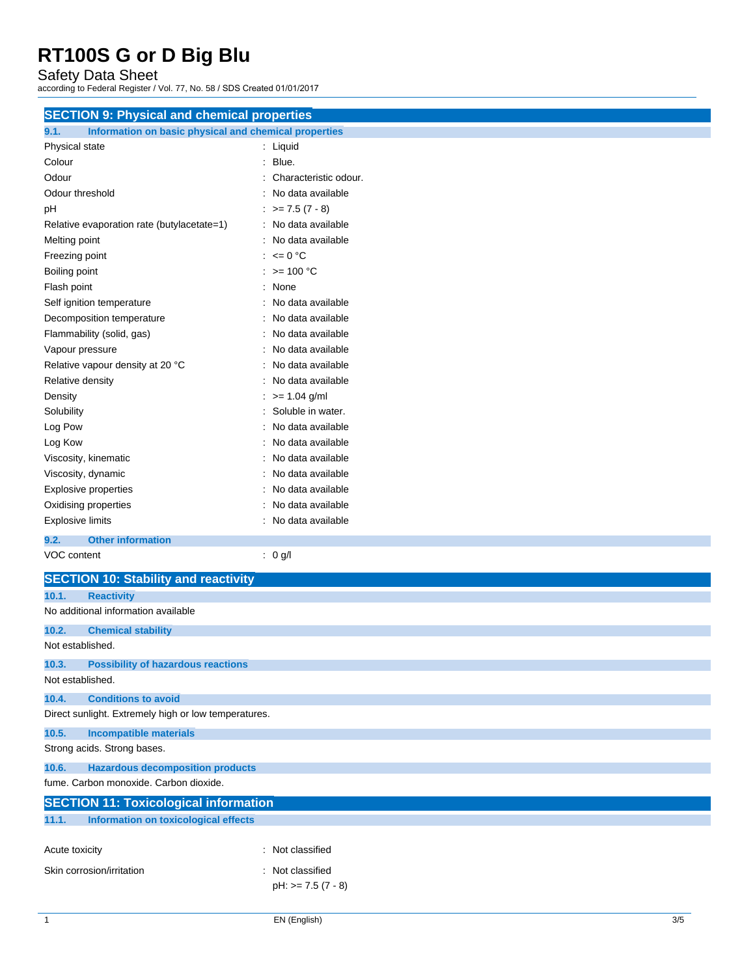Safety Data Sheet

according to Federal Register / Vol. 77, No. 58 / SDS Created 01/01/2017

| <b>SECTION 9: Physical and chemical properties</b>            |                             |  |
|---------------------------------------------------------------|-----------------------------|--|
| 9.1.<br>Information on basic physical and chemical properties |                             |  |
| Physical state                                                | : Liquid                    |  |
| Colour                                                        | Blue.<br>t.                 |  |
| Odour                                                         | Characteristic odour.       |  |
| Odour threshold                                               | No data available           |  |
| рH                                                            | $\therefore$ >= 7.5 (7 - 8) |  |
| Relative evaporation rate (butylacetate=1)                    | : No data available         |  |
| Melting point                                                 | : No data available         |  |
| Freezing point                                                | : $\leq 0$ °C               |  |
| Boiling point                                                 | : $> = 100 °C$              |  |
| Flash point                                                   | : None                      |  |
| Self ignition temperature                                     | : No data available         |  |
| Decomposition temperature                                     | : No data available         |  |
| Flammability (solid, gas)                                     | : No data available         |  |
| Vapour pressure                                               | : No data available         |  |
| Relative vapour density at 20 °C                              | : No data available         |  |
| Relative density                                              | : No data available         |  |
| Density                                                       | $\therefore$ >= 1.04 g/ml   |  |
| Solubility                                                    | : Soluble in water.         |  |
| Log Pow                                                       | : No data available         |  |
| Log Kow                                                       | No data available           |  |
| Viscosity, kinematic                                          | No data available           |  |
| Viscosity, dynamic                                            | No data available           |  |
| <b>Explosive properties</b>                                   | No data available           |  |
| Oxidising properties                                          | No data available           |  |
| <b>Explosive limits</b>                                       | : No data available         |  |
| 9.2.<br><b>Other information</b>                              |                             |  |
| VOC content                                                   | : 0 g/l                     |  |
| <b>SECTION 10: Stability and reactivity</b>                   |                             |  |
| 10.1.<br><b>Reactivity</b>                                    |                             |  |
| No additional information available                           |                             |  |
|                                                               |                             |  |
| 10.2.<br><b>Chemical stability</b><br>Not established.        |                             |  |
|                                                               |                             |  |
| 10.3.<br><b>Possibility of hazardous reactions</b>            |                             |  |
| Not established.                                              |                             |  |
| 10.4.<br><b>Conditions to avoid</b>                           |                             |  |
| Direct sunlight. Extremely high or low temperatures.          |                             |  |
| 10.5.<br><b>Incompatible materials</b>                        |                             |  |
| Strong acids. Strong bases.                                   |                             |  |
| <b>Hazardous decomposition products</b><br>10.6.              |                             |  |
| fume. Carbon monoxide. Carbon dioxide.                        |                             |  |
| <b>SECTION 11: Toxicological information</b>                  |                             |  |
| 11.1.<br><b>Information on toxicological effects</b>          |                             |  |
|                                                               |                             |  |
| Acute toxicity                                                | : Not classified            |  |
|                                                               |                             |  |
| Skin corrosion/irritation                                     | : Not classified            |  |
|                                                               | $pH: z = 7.5 (7 - 8)$       |  |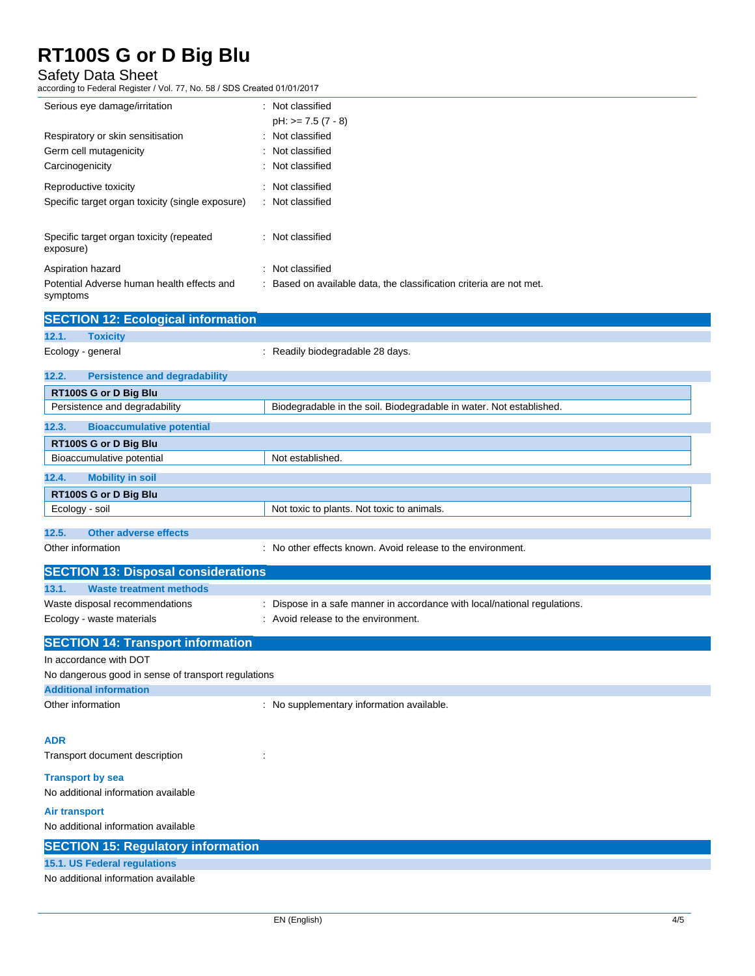Safety Data Sheet

according to Federal Register / Vol. 77, No. 58 / SDS Created 01/01/2017

| Serious eye damage/irritation                                                  | : Not classified<br>$pH: z = 7.5 (7 - 8)$                                               |
|--------------------------------------------------------------------------------|-----------------------------------------------------------------------------------------|
| Respiratory or skin sensitisation<br>Germ cell mutagenicity<br>Carcinogenicity | : Not classified<br>: Not classified<br>: Not classified                                |
| Reproductive toxicity<br>Specific target organ toxicity (single exposure)      | : Not classified<br>: Not classified                                                    |
| Specific target organ toxicity (repeated<br>exposure)                          | : Not classified                                                                        |
| Aspiration hazard<br>Potential Adverse human health effects and<br>symptoms    | : Not classified<br>: Based on available data, the classification criteria are not met. |

|                | <b>SECTION 12: Ecological information</b> |                                                                     |
|----------------|-------------------------------------------|---------------------------------------------------------------------|
| 12.1.          | <b>Toxicity</b>                           |                                                                     |
|                | Ecology - general                         | : Readily biodegradable 28 days.                                    |
| 12.2.          | <b>Persistence and degradability</b>      |                                                                     |
|                | RT100S G or D Big Blu                     |                                                                     |
|                | Persistence and degradability             | Biodegradable in the soil. Biodegradable in water. Not established. |
| 12.3.          | <b>Bioaccumulative potential</b>          |                                                                     |
|                | RT100S G or D Big Blu                     |                                                                     |
|                | Bioaccumulative potential                 | Not established.                                                    |
| 12.4.          | <b>Mobility in soil</b>                   |                                                                     |
|                | RT100S G or D Big Blu                     |                                                                     |
| Ecology - soil |                                           | Not toxic to plants. Not toxic to animals.                          |
| 12.5.          | <b>Other adverse effects</b>              |                                                                     |

Other information **contains the environment.** : No other effects known. Avoid release to the environment.

| <b>SECTION 13: Disposal considerations</b>                  |                                                                                                                  |
|-------------------------------------------------------------|------------------------------------------------------------------------------------------------------------------|
| <b>Waste treatment methods</b><br>13.1.                     |                                                                                                                  |
| Waste disposal recommendations<br>Ecology - waste materials | : Dispose in a safe manner in accordance with local/national regulations.<br>: Avoid release to the environment. |
| <b>SECTION 14: Transport information</b>                    |                                                                                                                  |
| In accordance with DOT                                      |                                                                                                                  |
| No dangerous good in sense of transport regulations         |                                                                                                                  |

**Additional information** Other information **contains the contract of the contract of the contract of the contract of the contract of the contract of the contract of the contract of the contract of the contract of the contract of the contract of th ADR**

Transport document description : : : : :

**Transport by sea**

No additional information available

### **Air transport**

No additional information available

### **SECTION 15: Regulatory information**

#### **15.1. US Federal regulations**

No additional information available